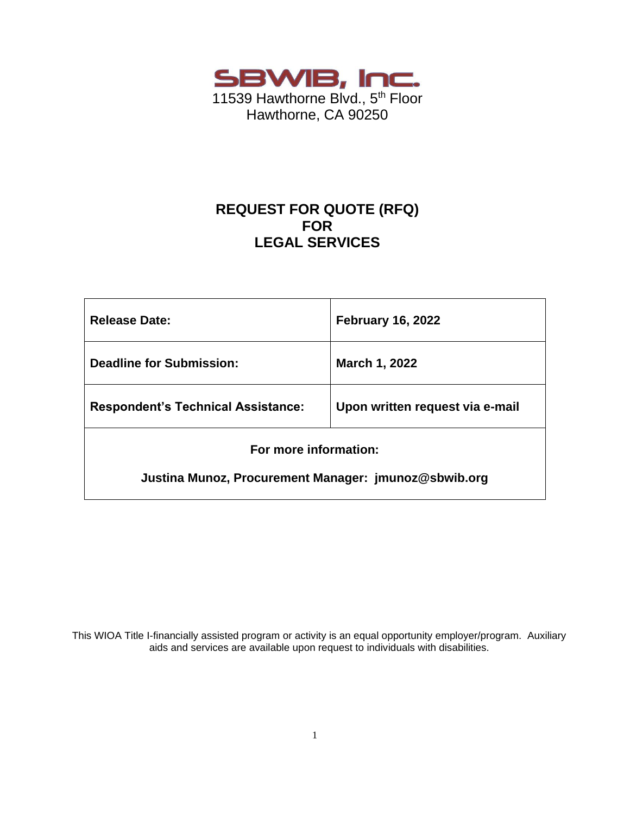

# **REQUEST FOR QUOTE (RFQ) FOR LEGAL SERVICES**

| <b>Release Date:</b>                                 | <b>February 16, 2022</b>        |  |  |  |
|------------------------------------------------------|---------------------------------|--|--|--|
| <b>Deadline for Submission:</b>                      | March 1, 2022                   |  |  |  |
| <b>Respondent's Technical Assistance:</b>            | Upon written request via e-mail |  |  |  |
| For more information:                                |                                 |  |  |  |
| Justina Munoz, Procurement Manager: jmunoz@sbwib.org |                                 |  |  |  |

This WIOA Title I-financially assisted program or activity is an equal opportunity employer/program. Auxiliary aids and services are available upon request to individuals with disabilities.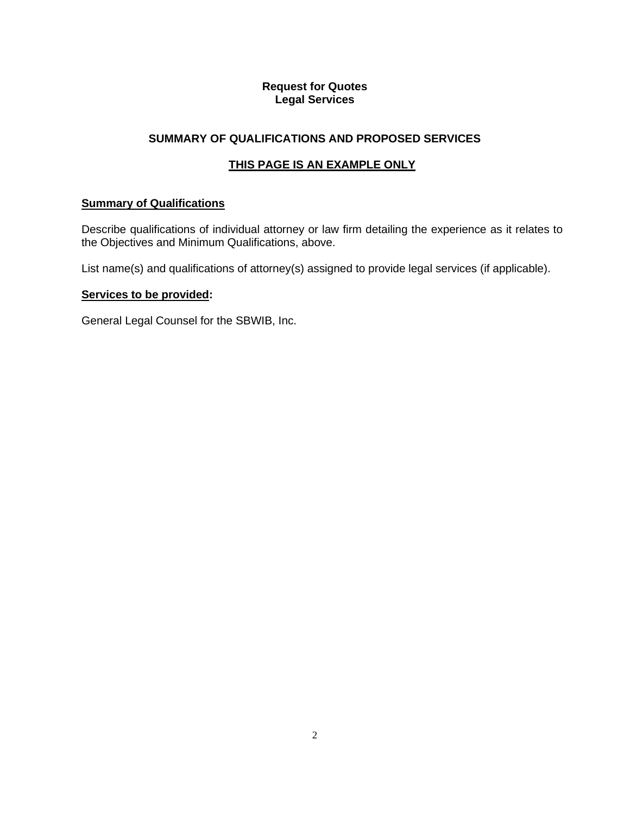### **Request for Quotes Legal Services**

## **SUMMARY OF QUALIFICATIONS AND PROPOSED SERVICES**

# **THIS PAGE IS AN EXAMPLE ONLY**

### **Summary of Qualifications**

Describe qualifications of individual attorney or law firm detailing the experience as it relates to the Objectives and Minimum Qualifications, above.

List name(s) and qualifications of attorney(s) assigned to provide legal services (if applicable).

#### **Services to be provided:**

General Legal Counsel for the SBWIB, Inc.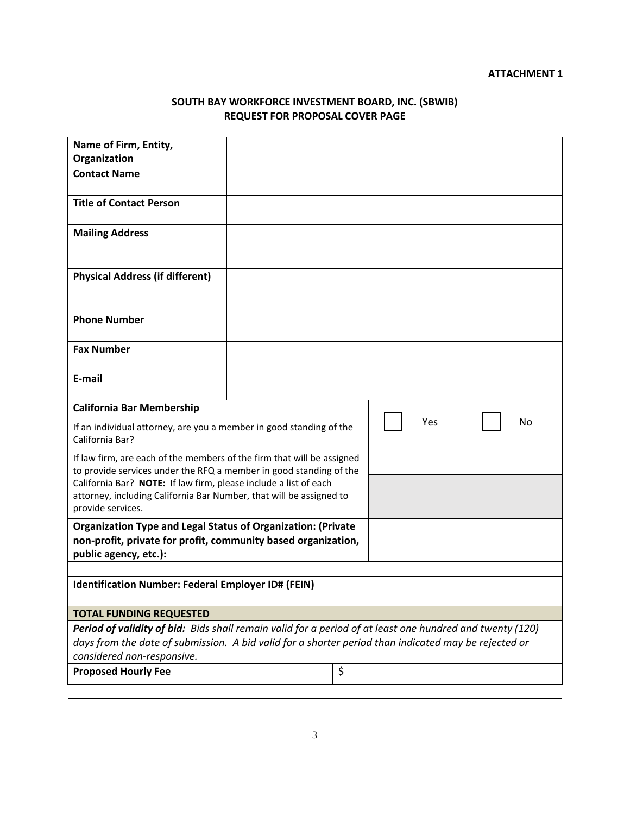### **SOUTH BAY WORKFORCE INVESTMENT BOARD, INC. (SBWIB) REQUEST FOR PROPOSAL COVER PAGE**

| Name of Firm, Entity,                                                                                                                                                                                                              |  |    |     |    |  |
|------------------------------------------------------------------------------------------------------------------------------------------------------------------------------------------------------------------------------------|--|----|-----|----|--|
| Organization                                                                                                                                                                                                                       |  |    |     |    |  |
| <b>Contact Name</b>                                                                                                                                                                                                                |  |    |     |    |  |
| <b>Title of Contact Person</b>                                                                                                                                                                                                     |  |    |     |    |  |
| <b>Mailing Address</b>                                                                                                                                                                                                             |  |    |     |    |  |
| <b>Physical Address (if different)</b>                                                                                                                                                                                             |  |    |     |    |  |
| <b>Phone Number</b>                                                                                                                                                                                                                |  |    |     |    |  |
| <b>Fax Number</b>                                                                                                                                                                                                                  |  |    |     |    |  |
| E-mail                                                                                                                                                                                                                             |  |    |     |    |  |
| <b>California Bar Membership</b>                                                                                                                                                                                                   |  |    |     |    |  |
| If an individual attorney, are you a member in good standing of the<br>California Bar?                                                                                                                                             |  |    | Yes | No |  |
| If law firm, are each of the members of the firm that will be assigned                                                                                                                                                             |  |    |     |    |  |
| to provide services under the RFQ a member in good standing of the<br>California Bar? NOTE: If law firm, please include a list of each<br>attorney, including California Bar Number, that will be assigned to<br>provide services. |  |    |     |    |  |
| <b>Organization Type and Legal Status of Organization: (Private</b>                                                                                                                                                                |  |    |     |    |  |
| non-profit, private for profit, community based organization,                                                                                                                                                                      |  |    |     |    |  |
| public agency, etc.):                                                                                                                                                                                                              |  |    |     |    |  |
| Identification Number: Federal Employer ID# (FEIN)                                                                                                                                                                                 |  |    |     |    |  |
|                                                                                                                                                                                                                                    |  |    |     |    |  |
| <b>TOTAL FUNDING REQUESTED</b>                                                                                                                                                                                                     |  |    |     |    |  |
| Period of validity of bid: Bids shall remain valid for a period of at least one hundred and twenty (120)                                                                                                                           |  |    |     |    |  |
| days from the date of submission. A bid valid for a shorter period than indicated may be rejected or                                                                                                                               |  |    |     |    |  |
| considered non-responsive.                                                                                                                                                                                                         |  |    |     |    |  |
| <b>Proposed Hourly Fee</b>                                                                                                                                                                                                         |  | \$ |     |    |  |